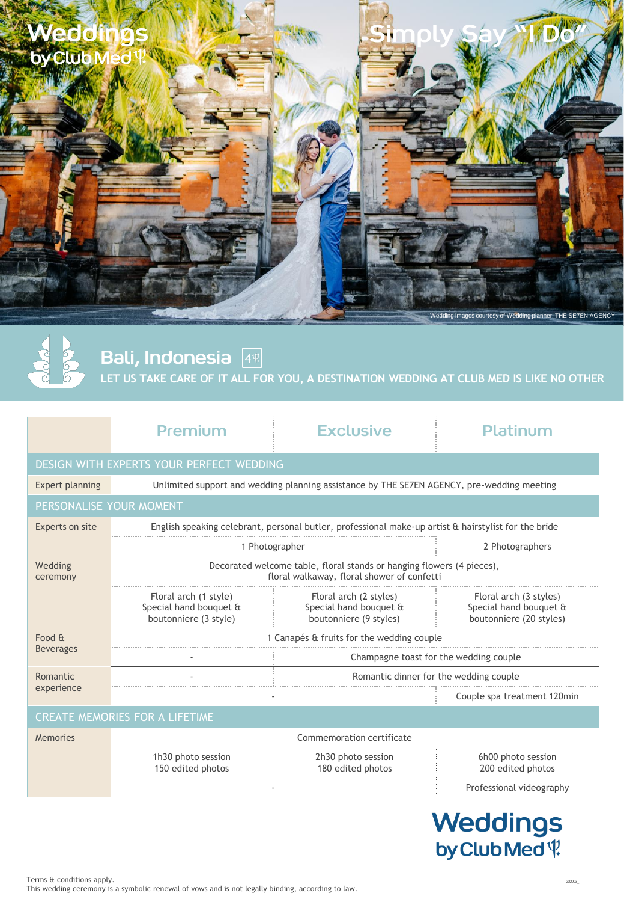



Bali, Indonesia 4

**LET US TAKE CARE OF IT ALL FOR YOU, A DESTINATION WEDDING AT CLUB MED IS LIKE NO OTHER**

|                            | Premium                                                                                                             | <b>Exclusive</b>                                                           | Platinum                                                                    |  |
|----------------------------|---------------------------------------------------------------------------------------------------------------------|----------------------------------------------------------------------------|-----------------------------------------------------------------------------|--|
|                            | DESIGN WITH EXPERTS YOUR PERFECT WEDDING                                                                            |                                                                            |                                                                             |  |
| Expert planning            | Unlimited support and wedding planning assistance by THE SE7EN AGENCY, pre-wedding meeting                          |                                                                            |                                                                             |  |
| PERSONALISE YOUR MOMENT    |                                                                                                                     |                                                                            |                                                                             |  |
| Experts on site            | English speaking celebrant, personal butler, professional make-up artist & hairstylist for the bride                |                                                                            |                                                                             |  |
|                            | 1 Photographer                                                                                                      |                                                                            | 2 Photographers                                                             |  |
| Wedding<br>ceremony        | Decorated welcome table, floral stands or hanging flowers (4 pieces),<br>floral walkaway, floral shower of confetti |                                                                            |                                                                             |  |
|                            | Floral arch (1 style)<br>Special hand bouquet &<br>boutonniere (3 style)                                            | Floral arch (2 styles)<br>Special hand bouquet &<br>boutonniere (9 styles) | Floral arch (3 styles)<br>Special hand bouquet &<br>boutonniere (20 styles) |  |
| Food &<br><b>Beverages</b> | 1 Canapés & fruits for the wedding couple                                                                           |                                                                            |                                                                             |  |
|                            |                                                                                                                     | Champagne toast for the wedding couple                                     |                                                                             |  |
| Romantic<br>experience     |                                                                                                                     | Romantic dinner for the wedding couple                                     |                                                                             |  |
|                            |                                                                                                                     |                                                                            | Couple spa treatment 120min                                                 |  |
|                            | CREATE MEMORIES FOR A LIFETIME                                                                                      |                                                                            |                                                                             |  |
| Memories                   | Commemoration certificate                                                                                           |                                                                            |                                                                             |  |
|                            | 1h30 photo session                                                                                                  | 2h30 photo session                                                         | 6h00 photo session                                                          |  |

| 1h30 photo session<br>150 edited photos | 2h30 photo session<br>180 edited photos | 6h00 photo session<br>200 edited photos |
|-----------------------------------------|-----------------------------------------|-----------------------------------------|
|                                         |                                         | Professional videography                |

# Weddings<br>byClubMed<sup>(1)</sup>